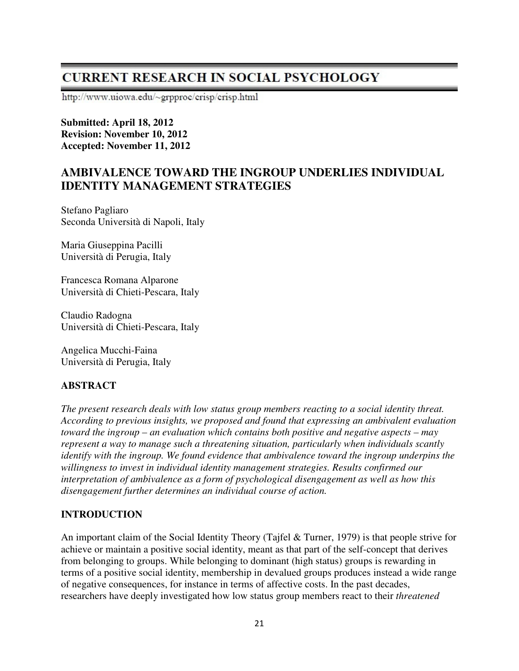# **CURRENT RESEARCH IN SOCIAL PSYCHOLOGY**

http://www.uiowa.edu/~grpproc/crisp/crisp.html

**Submitted: April 18, 2012 Revision: November 10, 2012 Accepted: November 11, 2012** 

# **AMBIVALENCE TOWARD THE INGROUP UNDERLIES INDIVIDUAL IDENTITY MANAGEMENT STRATEGIES**

Stefano Pagliaro Seconda Università di Napoli, Italy

Maria Giuseppina Pacilli Università di Perugia, Italy

Francesca Romana Alparone Università di Chieti-Pescara, Italy

Claudio Radogna Università di Chieti-Pescara, Italy

Angelica Mucchi-Faina Università di Perugia, Italy

## **ABSTRACT**

*The present research deals with low status group members reacting to a social identity threat. According to previous insights, we proposed and found that expressing an ambivalent evaluation toward the ingroup – an evaluation which contains both positive and negative aspects – may represent a way to manage such a threatening situation, particularly when individuals scantly identify with the ingroup. We found evidence that ambivalence toward the ingroup underpins the willingness to invest in individual identity management strategies. Results confirmed our interpretation of ambivalence as a form of psychological disengagement as well as how this disengagement further determines an individual course of action.* 

## **INTRODUCTION**

An important claim of the Social Identity Theory (Tajfel & Turner, 1979) is that people strive for achieve or maintain a positive social identity, meant as that part of the self-concept that derives from belonging to groups. While belonging to dominant (high status) groups is rewarding in terms of a positive social identity, membership in devalued groups produces instead a wide range of negative consequences, for instance in terms of affective costs. In the past decades, researchers have deeply investigated how low status group members react to their *threatened*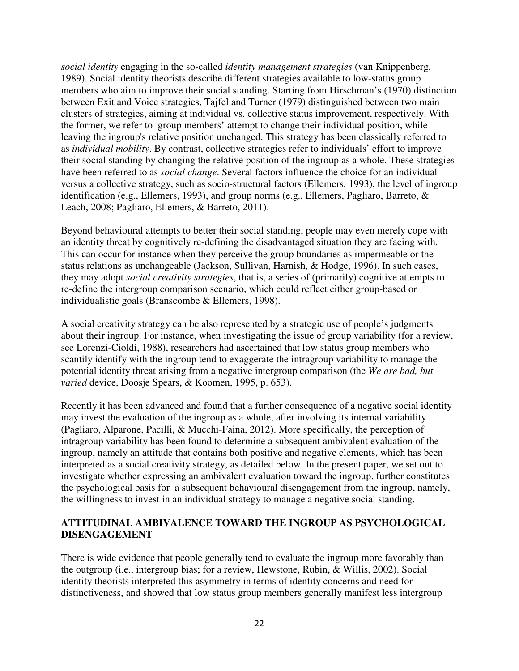*social identity* engaging in the so-called *identity management strategies* (van Knippenberg, 1989). Social identity theorists describe different strategies available to low-status group members who aim to improve their social standing. Starting from Hirschman's (1970) distinction between Exit and Voice strategies, Tajfel and Turner (1979) distinguished between two main clusters of strategies, aiming at individual vs. collective status improvement, respectively. With the former, we refer to group members' attempt to change their individual position, while leaving the ingroup's relative position unchanged. This strategy has been classically referred to as *individual mobility*. By contrast, collective strategies refer to individuals' effort to improve their social standing by changing the relative position of the ingroup as a whole. These strategies have been referred to as *social change*. Several factors influence the choice for an individual versus a collective strategy, such as socio-structural factors (Ellemers, 1993), the level of ingroup identification (e.g., Ellemers, 1993), and group norms (e.g., Ellemers, Pagliaro, Barreto, & Leach, 2008; Pagliaro, Ellemers, & Barreto, 2011).

Beyond behavioural attempts to better their social standing, people may even merely cope with an identity threat by cognitively re-defining the disadvantaged situation they are facing with. This can occur for instance when they perceive the group boundaries as impermeable or the status relations as unchangeable (Jackson, Sullivan, Harnish, & Hodge, 1996). In such cases, they may adopt *social creativity strategies*, that is, a series of (primarily) cognitive attempts to re-define the intergroup comparison scenario, which could reflect either group-based or individualistic goals (Branscombe & Ellemers, 1998).

A social creativity strategy can be also represented by a strategic use of people's judgments about their ingroup. For instance, when investigating the issue of group variability (for a review, see Lorenzi-Cioldi, 1988), researchers had ascertained that low status group members who scantily identify with the ingroup tend to exaggerate the intragroup variability to manage the potential identity threat arising from a negative intergroup comparison (the *We are bad, but varied* device, Doosje Spears, & Koomen, 1995, p. 653).

Recently it has been advanced and found that a further consequence of a negative social identity may invest the evaluation of the ingroup as a whole, after involving its internal variability (Pagliaro, Alparone, Pacilli, & Mucchi-Faina, 2012). More specifically, the perception of intragroup variability has been found to determine a subsequent ambivalent evaluation of the ingroup, namely an attitude that contains both positive and negative elements, which has been interpreted as a social creativity strategy, as detailed below. In the present paper, we set out to investigate whether expressing an ambivalent evaluation toward the ingroup, further constitutes the psychological basis for a subsequent behavioural disengagement from the ingroup, namely, the willingness to invest in an individual strategy to manage a negative social standing.

## **ATTITUDINAL AMBIVALENCE TOWARD THE INGROUP AS PSYCHOLOGICAL DISENGAGEMENT**

There is wide evidence that people generally tend to evaluate the ingroup more favorably than the outgroup (i.e., intergroup bias; for a review, Hewstone, Rubin, & Willis, 2002). Social identity theorists interpreted this asymmetry in terms of identity concerns and need for distinctiveness, and showed that low status group members generally manifest less intergroup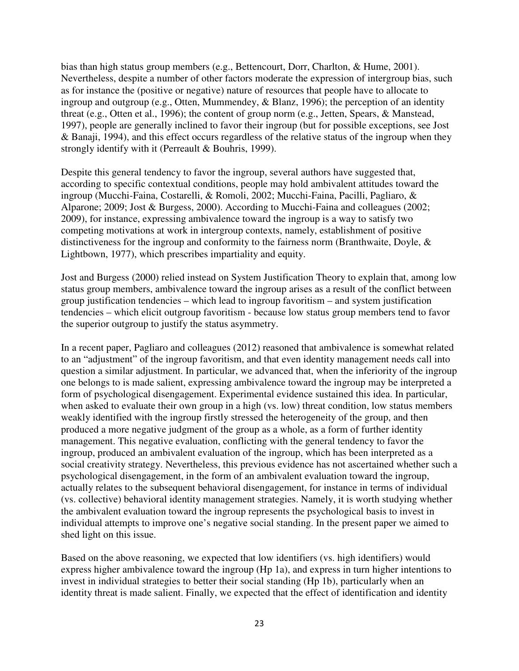bias than high status group members (e.g., Bettencourt, Dorr, Charlton, & Hume, 2001). Nevertheless, despite a number of other factors moderate the expression of intergroup bias, such as for instance the (positive or negative) nature of resources that people have to allocate to ingroup and outgroup (e.g., Otten, Mummendey, & Blanz, 1996); the perception of an identity threat (e.g., Otten et al., 1996); the content of group norm (e.g., Jetten, Spears, & Manstead, 1997), people are generally inclined to favor their ingroup (but for possible exceptions, see Jost & Banaji, 1994), and this effect occurs regardless of the relative status of the ingroup when they strongly identify with it (Perreault & Bouhris, 1999).

Despite this general tendency to favor the ingroup, several authors have suggested that, according to specific contextual conditions, people may hold ambivalent attitudes toward the ingroup (Mucchi-Faina, Costarelli, & Romoli, 2002; Mucchi-Faina, Pacilli, Pagliaro, & Alparone; 2009; Jost & Burgess, 2000). According to Mucchi-Faina and colleagues (2002; 2009), for instance, expressing ambivalence toward the ingroup is a way to satisfy two competing motivations at work in intergroup contexts, namely, establishment of positive distinctiveness for the ingroup and conformity to the fairness norm (Branthwaite, Doyle, & Lightbown, 1977), which prescribes impartiality and equity.

Jost and Burgess (2000) relied instead on System Justification Theory to explain that, among low status group members, ambivalence toward the ingroup arises as a result of the conflict between group justification tendencies – which lead to ingroup favoritism – and system justification tendencies – which elicit outgroup favoritism - because low status group members tend to favor the superior outgroup to justify the status asymmetry.

In a recent paper, Pagliaro and colleagues (2012) reasoned that ambivalence is somewhat related to an "adjustment" of the ingroup favoritism, and that even identity management needs call into question a similar adjustment. In particular, we advanced that, when the inferiority of the ingroup one belongs to is made salient, expressing ambivalence toward the ingroup may be interpreted a form of psychological disengagement. Experimental evidence sustained this idea. In particular, when asked to evaluate their own group in a high (vs. low) threat condition, low status members weakly identified with the ingroup firstly stressed the heterogeneity of the group, and then produced a more negative judgment of the group as a whole, as a form of further identity management. This negative evaluation, conflicting with the general tendency to favor the ingroup, produced an ambivalent evaluation of the ingroup, which has been interpreted as a social creativity strategy. Nevertheless, this previous evidence has not ascertained whether such a psychological disengagement, in the form of an ambivalent evaluation toward the ingroup, actually relates to the subsequent behavioral disengagement, for instance in terms of individual (vs. collective) behavioral identity management strategies. Namely, it is worth studying whether the ambivalent evaluation toward the ingroup represents the psychological basis to invest in individual attempts to improve one's negative social standing. In the present paper we aimed to shed light on this issue.

Based on the above reasoning, we expected that low identifiers (vs. high identifiers) would express higher ambivalence toward the ingroup (Hp 1a), and express in turn higher intentions to invest in individual strategies to better their social standing (Hp 1b), particularly when an identity threat is made salient. Finally, we expected that the effect of identification and identity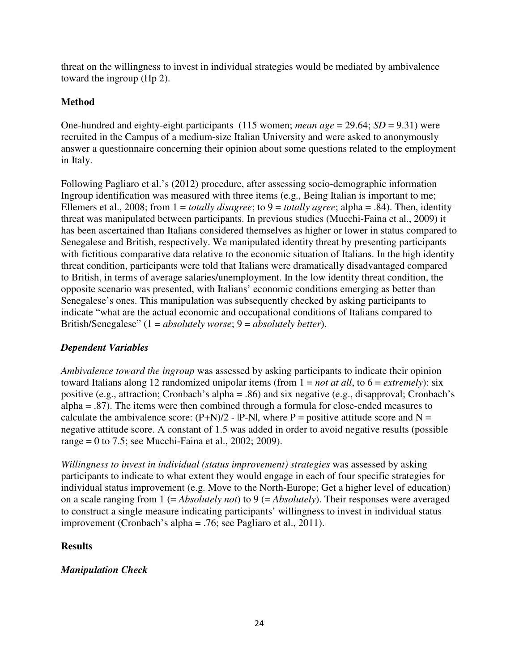threat on the willingness to invest in individual strategies would be mediated by ambivalence toward the ingroup (Hp 2).

## **Method**

One-hundred and eighty-eight participants (115 women; *mean age* = 29.64; *SD* = 9.31) were recruited in the Campus of a medium-size Italian University and were asked to anonymously answer a questionnaire concerning their opinion about some questions related to the employment in Italy.

Following Pagliaro et al.'s (2012) procedure, after assessing socio-demographic information Ingroup identification was measured with three items (e.g., Being Italian is important to me; Ellemers et al., 2008; from 1 = *totally disagree*; to 9 = *totally agree*; alpha = .84). Then, identity threat was manipulated between participants. In previous studies (Mucchi-Faina et al., 2009) it has been ascertained than Italians considered themselves as higher or lower in status compared to Senegalese and British, respectively. We manipulated identity threat by presenting participants with fictitious comparative data relative to the economic situation of Italians. In the high identity threat condition, participants were told that Italians were dramatically disadvantaged compared to British, in terms of average salaries/unemployment. In the low identity threat condition, the opposite scenario was presented, with Italians' economic conditions emerging as better than Senegalese's ones. This manipulation was subsequently checked by asking participants to indicate "what are the actual economic and occupational conditions of Italians compared to British/Senegalese" (1 = *absolutely worse*; 9 = *absolutely better*).

## *Dependent Variables*

*Ambivalence toward the ingroup* was assessed by asking participants to indicate their opinion toward Italians along 12 randomized unipolar items (from  $1 = not at all$ , to  $6 = extremely$ ): six positive (e.g., attraction; Cronbach's alpha = .86) and six negative (e.g., disapproval; Cronbach's alpha = .87). The items were then combined through a formula for close-ended measures to calculate the ambivalence score:  $(P+N)/2$  -  $|P-N|$ , where P = positive attitude score and N = negative attitude score. A constant of 1.5 was added in order to avoid negative results (possible range = 0 to 7.5; see Mucchi-Faina et al., 2002; 2009).

*Willingness to invest in individual (status improvement) strategies* was assessed by asking participants to indicate to what extent they would engage in each of four specific strategies for individual status improvement (e.g. Move to the North-Europe; Get a higher level of education) on a scale ranging from 1 (= *Absolutely not*) to 9 (= *Absolutely*). Their responses were averaged to construct a single measure indicating participants' willingness to invest in individual status improvement (Cronbach's alpha = .76; see Pagliaro et al., 2011).

## **Results**

## *Manipulation Check*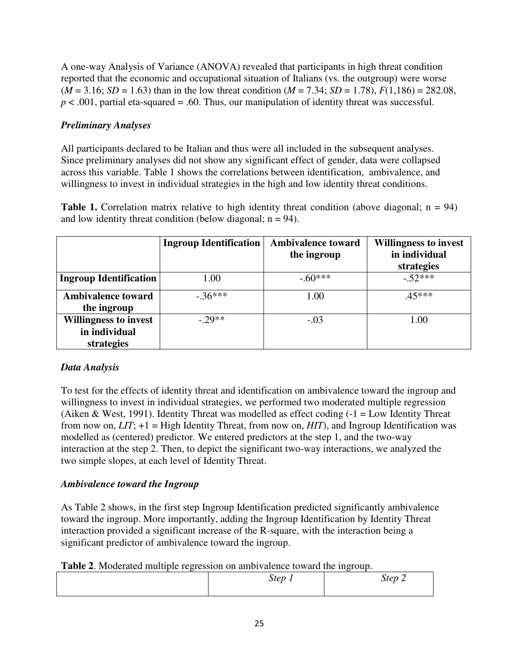A one-way Analysis of Variance (ANOVA) revealed that participants in high threat condition reported that the economic and occupational situation of Italians (vs. the outgroup) were worse  $(M = 3.16; SD = 1.63)$  than in the low threat condition  $(M = 7.34; SD = 1.78)$ ,  $F(1,186) = 282.08$ ,  $p < .001$ , partial eta-squared = .60. Thus, our manipulation of identity threat was successful.

## *Preliminary Analyses*

All participants declared to be Italian and thus were all included in the subsequent analyses. Since preliminary analyses did not show any significant effect of gender, data were collapsed across this variable. Table 1 shows the correlations between identification, ambivalence, and willingness to invest in individual strategies in the high and low identity threat conditions.

**Table 1.** Correlation matrix relative to high identity threat condition (above diagonal;  $n = 94$ ) and low identity threat condition (below diagonal;  $n = 94$ ).

|                                                             | <b>Ingroup Identification</b> | <b>Ambivalence toward</b><br>the ingroup | <b>Willingness to invest</b><br>in individual<br>strategies |
|-------------------------------------------------------------|-------------------------------|------------------------------------------|-------------------------------------------------------------|
| <b>Ingroup Identification</b>                               | 1.00                          | $-60***$                                 | $-52***$                                                    |
| <b>Ambivalence toward</b><br>the ingroup                    | $-.36***$                     | 1.00                                     | $.45***$                                                    |
| <b>Willingness to invest</b><br>in individual<br>strategies | $-.29**$                      | $-.03$                                   | 1.00                                                        |

## *Data Analysis*

To test for the effects of identity threat and identification on ambivalence toward the ingroup and willingness to invest in individual strategies, we performed two moderated multiple regression (Aiken & West, 1991). Identity Threat was modelled as effect coding  $(-1 = Low$  Identity Threat from now on, *LIT*; +1 = High Identity Threat, from now on, *HIT*), and Ingroup Identification was modelled as (centered) predictor. We entered predictors at the step 1, and the two-way interaction at the step 2. Then, to depict the significant two-way interactions, we analyzed the two simple slopes, at each level of Identity Threat.

## *Ambivalence toward the Ingroup*

As Table 2 shows, in the first step Ingroup Identification predicted significantly ambivalence toward the ingroup. More importantly, adding the Ingroup Identification by Identity Threat interaction provided a significant increase of the R-square, with the interaction being a significant predictor of ambivalence toward the ingroup.

| Table 2. Moderated multiple regression on ambivalence toward the ingroup. |  |
|---------------------------------------------------------------------------|--|
|---------------------------------------------------------------------------|--|

| $\overline{\phantom{a}}$ |        | ຼ                                  |
|--------------------------|--------|------------------------------------|
|                          | Step 1 | Step 2<br>$\overline{\phantom{a}}$ |
|                          |        |                                    |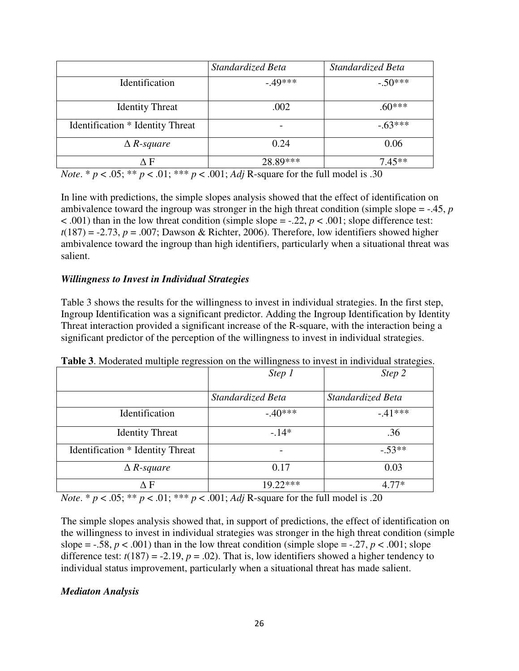|                                  | Standardized Beta | Standardized Beta |
|----------------------------------|-------------------|-------------------|
| Identification                   | $-49***$          | $-.50***$         |
| <b>Identity Threat</b>           | .002              | $.60***$          |
| Identification * Identity Threat |                   | $-63***$          |
| $\triangle$ R-square             | 0.24              | 0.06              |
| ΔF                               | 28.89***          | $7.45**$          |

*Note*. \*  $p < .05$ ; \*\*  $p < .01$ ; \*\*\*  $p < .001$ ; *Adj* R-square for the full model is .30

In line with predictions, the simple slopes analysis showed that the effect of identification on ambivalence toward the ingroup was stronger in the high threat condition (simple slope = -.45, *p*  $\leq$  .001) than in the low threat condition (simple slope = -.22, *p*  $\lt$  .001; slope difference test:  $t(187) = -2.73$ ,  $p = .007$ ; Dawson & Richter, 2006). Therefore, low identifiers showed higher ambivalence toward the ingroup than high identifiers, particularly when a situational threat was salient.

#### *Willingness to Invest in Individual Strategies*

Table 3 shows the results for the willingness to invest in individual strategies. In the first step, Ingroup Identification was a significant predictor. Adding the Ingroup Identification by Identity Threat interaction provided a significant increase of the R-square, with the interaction being a significant predictor of the perception of the willingness to invest in individual strategies.

|                                  | Step 1            | Step 2            |
|----------------------------------|-------------------|-------------------|
|                                  | Standardized Beta | Standardized Beta |
| Identification                   | $-40***$          | $-41***$          |
| <b>Identity Threat</b>           | $-14*$            | .36               |
| Identification * Identity Threat |                   | $-.53**$          |
| $\triangle R$ -square            | 0.17              | 0.03              |
| ΔF                               | $19.22***$        | $4.77*$           |

**Table 3**. Moderated multiple regression on the willingness to invest in individual strategies.

*Note*. \*  $p < .05$ ; \*\*  $p < .01$ ; \*\*\*  $p < .001$ ; *Adj* R-square for the full model is .20

The simple slopes analysis showed that, in support of predictions, the effect of identification on the willingness to invest in individual strategies was stronger in the high threat condition (simple slope =  $-.58$ ,  $p < .001$ ) than in the low threat condition (simple slope =  $-.27$ ,  $p < .001$ ; slope difference test:  $t(187) = -2.19$ ,  $p = .02$ ). That is, low identifiers showed a higher tendency to individual status improvement, particularly when a situational threat has made salient.

#### *Mediaton Analysis*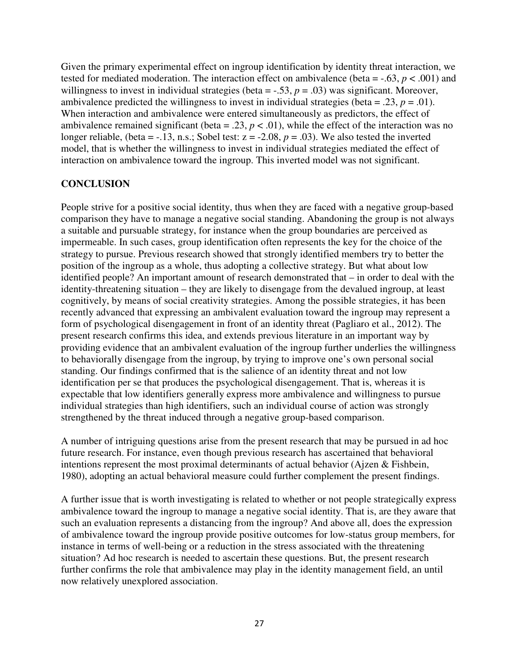Given the primary experimental effect on ingroup identification by identity threat interaction, we tested for mediated moderation. The interaction effect on ambivalence (beta =  $-.63, p < .001$ ) and willingness to invest in individual strategies (beta  $= -.53$ ,  $p = .03$ ) was significant. Moreover, ambivalence predicted the willingness to invest in individual strategies (beta = .23,  $p = .01$ ). When interaction and ambivalence were entered simultaneously as predictors, the effect of ambivalence remained significant (beta = .23,  $p < .01$ ), while the effect of the interaction was no longer reliable, (beta =  $-13$ , n.s.; Sobel test:  $z = -2.08$ ,  $p = .03$ ). We also tested the inverted model, that is whether the willingness to invest in individual strategies mediated the effect of interaction on ambivalence toward the ingroup. This inverted model was not significant.

#### **CONCLUSION**

People strive for a positive social identity, thus when they are faced with a negative group-based comparison they have to manage a negative social standing. Abandoning the group is not always a suitable and pursuable strategy, for instance when the group boundaries are perceived as impermeable. In such cases, group identification often represents the key for the choice of the strategy to pursue. Previous research showed that strongly identified members try to better the position of the ingroup as a whole, thus adopting a collective strategy. But what about low identified people? An important amount of research demonstrated that – in order to deal with the identity-threatening situation – they are likely to disengage from the devalued ingroup, at least cognitively, by means of social creativity strategies. Among the possible strategies, it has been recently advanced that expressing an ambivalent evaluation toward the ingroup may represent a form of psychological disengagement in front of an identity threat (Pagliaro et al., 2012). The present research confirms this idea, and extends previous literature in an important way by providing evidence that an ambivalent evaluation of the ingroup further underlies the willingness to behaviorally disengage from the ingroup, by trying to improve one's own personal social standing. Our findings confirmed that is the salience of an identity threat and not low identification per se that produces the psychological disengagement. That is, whereas it is expectable that low identifiers generally express more ambivalence and willingness to pursue individual strategies than high identifiers, such an individual course of action was strongly strengthened by the threat induced through a negative group-based comparison.

A number of intriguing questions arise from the present research that may be pursued in ad hoc future research. For instance, even though previous research has ascertained that behavioral intentions represent the most proximal determinants of actual behavior (Ajzen & Fishbein, 1980), adopting an actual behavioral measure could further complement the present findings.

A further issue that is worth investigating is related to whether or not people strategically express ambivalence toward the ingroup to manage a negative social identity. That is, are they aware that such an evaluation represents a distancing from the ingroup? And above all, does the expression of ambivalence toward the ingroup provide positive outcomes for low-status group members, for instance in terms of well-being or a reduction in the stress associated with the threatening situation? Ad hoc research is needed to ascertain these questions. But, the present research further confirms the role that ambivalence may play in the identity management field, an until now relatively unexplored association.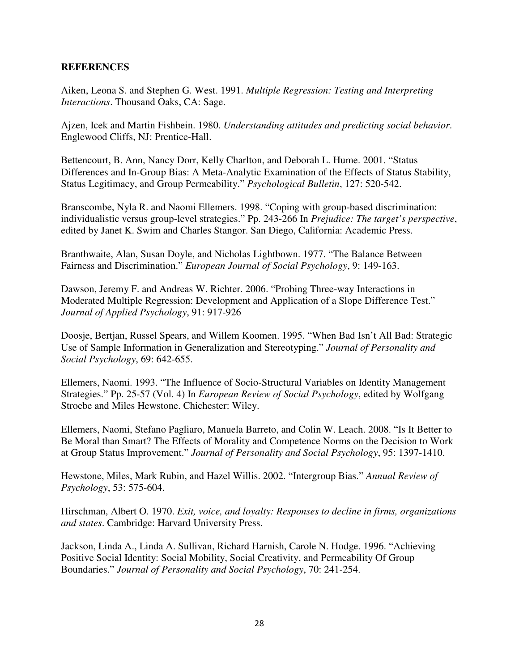#### **REFERENCES**

Aiken, Leona S. and Stephen G. West. 1991. *Multiple Regression: Testing and Interpreting Interactions*. Thousand Oaks, CA: Sage.

Ajzen, Icek and Martin Fishbein. 1980. *Understanding attitudes and predicting social behavior*. Englewood Cliffs, NJ: Prentice-Hall.

Bettencourt, B. Ann, Nancy Dorr, Kelly Charlton, and Deborah L. Hume. 2001. "Status Differences and In-Group Bias: A Meta-Analytic Examination of the Effects of Status Stability, Status Legitimacy, and Group Permeability." *Psychological Bulletin*, 127: 520-542.

Branscombe, Nyla R. and Naomi Ellemers. 1998. "Coping with group-based discrimination: individualistic versus group-level strategies." Pp. 243-266 In *Prejudice: The target's perspective*, edited by Janet K. Swim and Charles Stangor. San Diego, California: Academic Press.

Branthwaite, Alan, Susan Doyle, and Nicholas Lightbown. 1977. "The Balance Between Fairness and Discrimination." *European Journal of Social Psychology*, 9: 149-163.

Dawson, Jeremy F. and Andreas W. Richter. 2006. "Probing Three-way Interactions in Moderated Multiple Regression: Development and Application of a Slope Difference Test." *Journal of Applied Psychology*, 91: 917-926

Doosje, Bertjan, Russel Spears, and Willem Koomen. 1995. "When Bad Isn't All Bad: Strategic Use of Sample Information in Generalization and Stereotyping." *Journal of Personality and Social Psychology*, 69: 642-655.

Ellemers, Naomi. 1993. "The Influence of Socio-Structural Variables on Identity Management Strategies." Pp. 25-57 (Vol. 4) In *European Review of Social Psychology*, edited by Wolfgang Stroebe and Miles Hewstone. Chichester: Wiley.

Ellemers, Naomi, Stefano Pagliaro, Manuela Barreto, and Colin W. Leach. 2008. "Is It Better to Be Moral than Smart? The Effects of Morality and Competence Norms on the Decision to Work at Group Status Improvement." *Journal of Personality and Social Psychology*, 95: 1397-1410.

Hewstone, Miles, Mark Rubin, and Hazel Willis. 2002. "Intergroup Bias." *Annual Review of Psychology*, 53: 575-604.

Hirschman, Albert O. 1970. *Exit, voice, and loyalty: Responses to decline in firms, organizations and states*. Cambridge: Harvard University Press.

Jackson, Linda A., Linda A. Sullivan, Richard Harnish, Carole N. Hodge. 1996. "Achieving Positive Social Identity: Social Mobility, Social Creativity, and Permeability Of Group Boundaries." *Journal of Personality and Social Psychology*, 70: 241-254.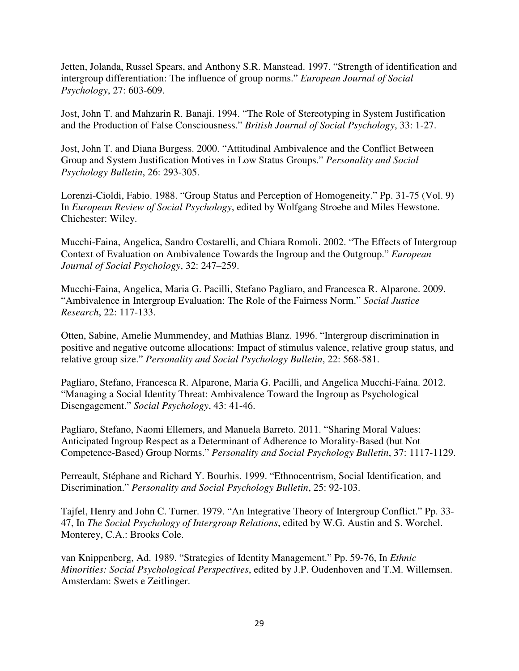Jetten, Jolanda, Russel Spears, and Anthony S.R. Manstead. 1997. "Strength of identification and intergroup differentiation: The influence of group norms." *European Journal of Social Psychology*, 27: 603-609.

Jost, John T. and Mahzarin R. Banaji. 1994. "The Role of Stereotyping in System Justification and the Production of False Consciousness." *British Journal of Social Psychology*, 33: 1-27.

Jost, John T. and Diana Burgess. 2000. "Attitudinal Ambivalence and the Conflict Between Group and System Justification Motives in Low Status Groups." *Personality and Social Psychology Bulletin*, 26: 293-305.

Lorenzi-Cioldi, Fabio. 1988. "Group Status and Perception of Homogeneity." Pp. 31-75 (Vol. 9) In *European Review of Social Psychology*, edited by Wolfgang Stroebe and Miles Hewstone. Chichester: Wiley.

Mucchi-Faina, Angelica, Sandro Costarelli, and Chiara Romoli. 2002. "The Effects of Intergroup Context of Evaluation on Ambivalence Towards the Ingroup and the Outgroup." *European Journal of Social Psychology*, 32: 247–259.

Mucchi-Faina, Angelica, Maria G. Pacilli, Stefano Pagliaro, and Francesca R. Alparone. 2009. "Ambivalence in Intergroup Evaluation: The Role of the Fairness Norm." *Social Justice Research*, 22: 117-133.

Otten, Sabine, Amelie Mummendey, and Mathias Blanz. 1996. "Intergroup discrimination in positive and negative outcome allocations: Impact of stimulus valence, relative group status, and relative group size." *Personality and Social Psychology Bulletin*, 22: 568-581.

Pagliaro, Stefano, Francesca R. Alparone, Maria G. Pacilli, and Angelica Mucchi-Faina. 2012. "Managing a Social Identity Threat: Ambivalence Toward the Ingroup as Psychological Disengagement." *Social Psychology*, 43: 41-46.

Pagliaro, Stefano, Naomi Ellemers, and Manuela Barreto. 2011. "Sharing Moral Values: Anticipated Ingroup Respect as a Determinant of Adherence to Morality-Based (but Not Competence-Based) Group Norms." *Personality and Social Psychology Bulletin*, 37: 1117-1129.

Perreault, Stéphane and Richard Y. Bourhis. 1999. "Ethnocentrism, Social Identification, and Discrimination." *Personality and Social Psychology Bulletin*, 25: 92-103.

Tajfel, Henry and John C. Turner. 1979. "An Integrative Theory of Intergroup Conflict." Pp. 33- 47, In *The Social Psychology of Intergroup Relations*, edited by W.G. Austin and S. Worchel. Monterey, C.A.: Brooks Cole.

van Knippenberg, Ad. 1989. "Strategies of Identity Management." Pp. 59-76, In *Ethnic Minorities: Social Psychological Perspectives*, edited by J.P. Oudenhoven and T.M. Willemsen. Amsterdam: Swets e Zeitlinger.